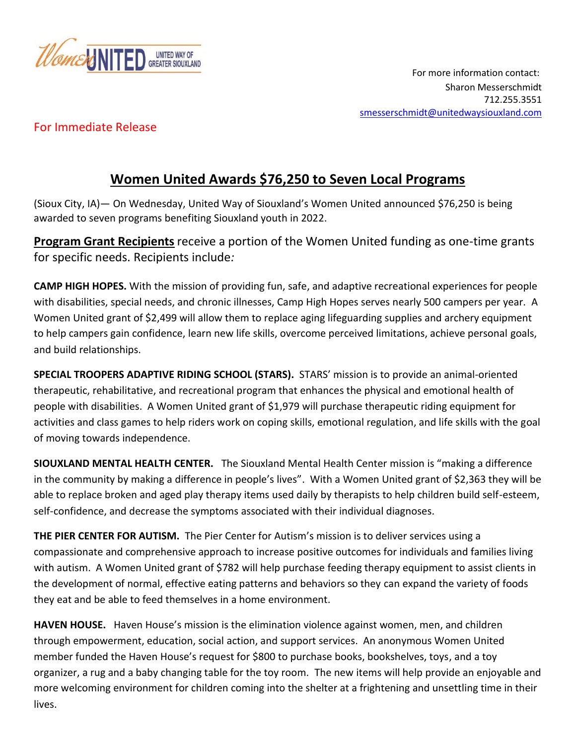

## For Immediate Release

## **Women United Awards \$76,250 to Seven Local Programs**

(Sioux City, IA)— On Wednesday, United Way of Siouxland's Women United announced \$76,250 is being awarded to seven programs benefiting Siouxland youth in 2022.

**Program Grant Recipients** receive a portion of the Women United funding as one-time grants for specific needs. Recipients include*:* 

**CAMP HIGH HOPES.** With the mission of providing fun, safe, and adaptive recreational experiences for people with disabilities, special needs, and chronic illnesses, Camp High Hopes serves nearly 500 campers per year. A Women United grant of \$2,499 will allow them to replace aging lifeguarding supplies and archery equipment to help campers gain confidence, learn new life skills, overcome perceived limitations, achieve personal goals, and build relationships.

**SPECIAL TROOPERS ADAPTIVE RIDING SCHOOL (STARS).** STARS' mission is to provide an animal-oriented therapeutic, rehabilitative, and recreational program that enhances the physical and emotional health of people with disabilities. A Women United grant of \$1,979 will purchase therapeutic riding equipment for activities and class games to help riders work on coping skills, emotional regulation, and life skills with the goal of moving towards independence.

**SIOUXLAND MENTAL HEALTH CENTER.** The Siouxland Mental Health Center mission is "making a difference in the community by making a difference in people's lives". With a Women United grant of \$2,363 they will be able to replace broken and aged play therapy items used daily by therapists to help children build self-esteem, self-confidence, and decrease the symptoms associated with their individual diagnoses.

**THE PIER CENTER FOR AUTISM.** The Pier Center for Autism's mission is to deliver services using a compassionate and comprehensive approach to increase positive outcomes for individuals and families living with autism. A Women United grant of \$782 will help purchase feeding therapy equipment to assist clients in the development of normal, effective eating patterns and behaviors so they can expand the variety of foods they eat and be able to feed themselves in a home environment.

**HAVEN HOUSE.** Haven House's mission is the elimination violence against women, men, and children through empowerment, education, social action, and support services. An anonymous Women United member funded the Haven House's request for \$800 to purchase books, bookshelves, toys, and a toy organizer, a rug and a baby changing table for the toy room. The new items will help provide an enjoyable and more welcoming environment for children coming into the shelter at a frightening and unsettling time in their lives.